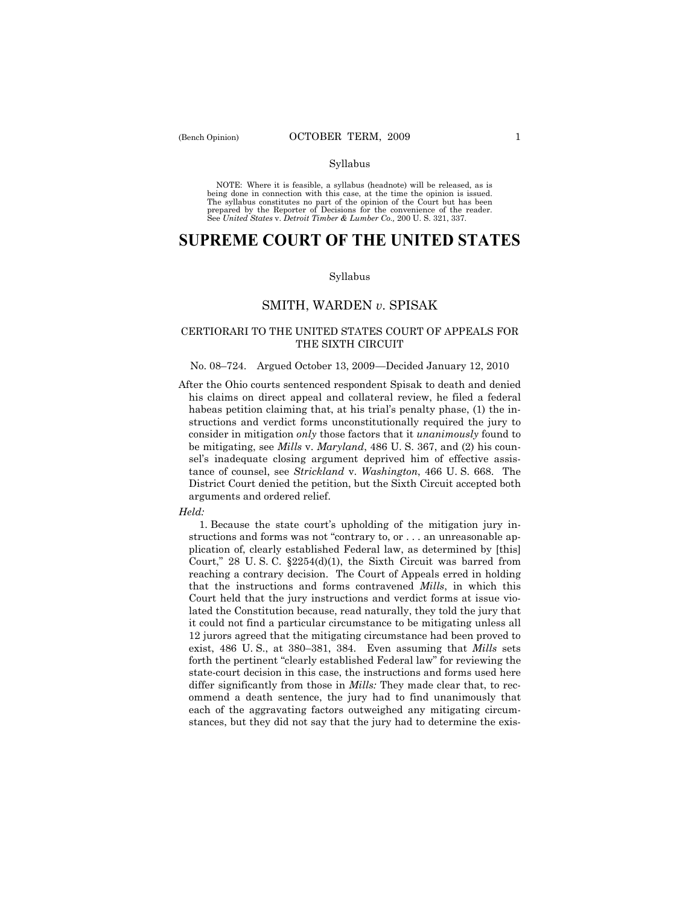### Syllabus

NOTE: Where it is feasible, a syllabus (headnote) will be released, as is being done in connection with this case, at the time the opinion is issued. The syllabus constitutes no part of the opinion of the Court but has been<br>prepared by the Reporter of Decisions for the convenience of the reader.<br>See United States v. Detroit Timber & Lumber Co., 200 U. S. 321, 337.

# **SUPREME COURT OF THE UNITED STATES**

### Syllabus

# SMITH, WARDEN *v*. SPISAK

## CERTIORARI TO THE UNITED STATES COURT OF APPEALS FOR THE SIXTH CIRCUIT

### No. 08–724. Argued October 13, 2009 —Decided January 12, 2010

After the Ohio courts sentenced respondent Spisak to death and denied his claims on direct appeal and collateral review, he filed a federal habeas petition claiming that, at his trial's penalty phase, (1) the instructions and verdict forms unconstitutionally required the jury to consider in mitigation *only* those factors that it *unanimously* found to be mitigating, see *Mills* v. *Maryland*, 486 U. S. 367, and (2) his counsel's inadequate closing argument deprived him of effective assistance of counsel, see *Strickland* v. *Washington*, 466 U. S. 668. The District Court denied the petition, but the Sixth Circuit accepted both arguments and ordered relief.

#### *Held:*

 1. Because the state court's upholding of the mitigation jury instructions and forms was not "contrary to, or . . . an unreasonable application of, clearly established Federal law, as determined by [this] Court," 28 U. S. C. §2254(d)(1), the Sixth Circuit was barred from reaching a contrary decision. The Court of Appeals erred in holding that the instructions and forms contravened *Mills*, in which this Court held that the jury instructions and verdict forms at issue violated the Constitution because, read naturally, they told the jury that it could not find a particular circumstance to be mitigating unless all 12 jurors agreed that the mitigating circumstance had been proved to exist, 486 U. S., at 380–381, 384. Even assuming that *Mills* sets forth the pertinent "clearly established Federal law" for reviewing the state-court decision in this case, the instructions and forms used here differ significantly from those in *Mills:* They made clear that, to recommend a death sentence, the jury had to find unanimously that each of the aggravating factors outweighed any mitigating circumstances, but they did not say that the jury had to determine the exis-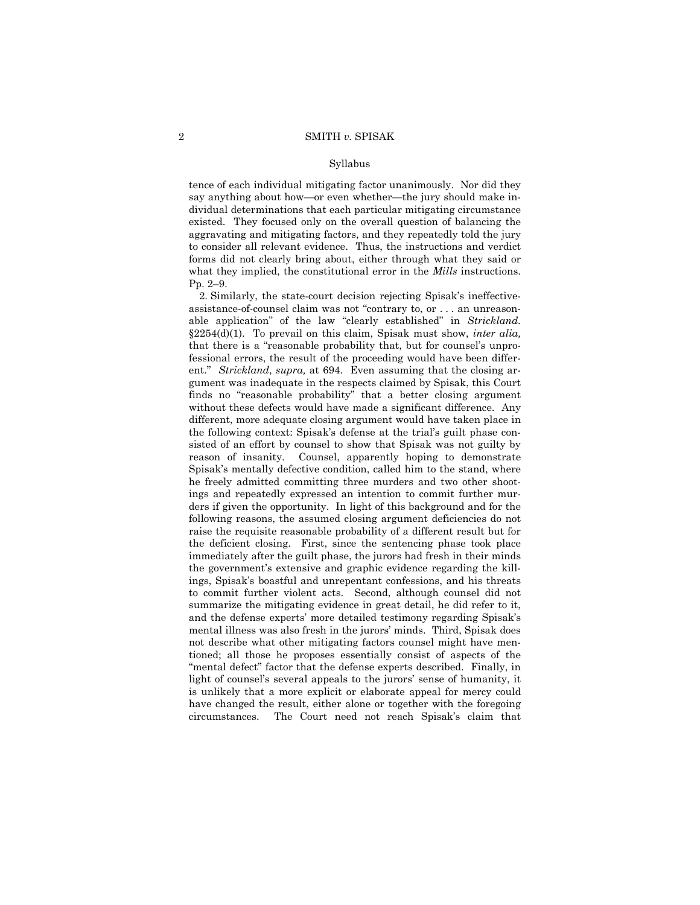#### Syllabus

tence of each individual mitigating factor unanimously. Nor did they say anything about how—or even whether—the jury should make individual determinations that each particular mitigating circumstance existed. They focused only on the overall question of balancing the aggravating and mitigating factors, and they repeatedly told the jury to consider all relevant evidence. Thus, the instructions and verdict forms did not clearly bring about, either through what they said or what they implied, the constitutional error in the *Mills* instructions. Pp. 2–9.

 2. Similarly, the state-court decision rejecting Spisak's ineffectiveassistance-of-counsel claim was not "contrary to, or . . . an unreasonable application" of the law "clearly established" in *Strickland.*  §2254(d)(1). To prevail on this claim, Spisak must show, *inter alia,* that there is a "reasonable probability that, but for counsel's unprofessional errors, the result of the proceeding would have been different." *Strickland*, *supra,* at 694. Even assuming that the closing argument was inadequate in the respects claimed by Spisak, this Court finds no "reasonable probability" that a better closing argument without these defects would have made a significant difference. Any different, more adequate closing argument would have taken place in the following context: Spisak's defense at the trial's guilt phase consisted of an effort by counsel to show that Spisak was not guilty by reason of insanity. Counsel, apparently hoping to demonstrate Spisak's mentally defective condition, called him to the stand, where he freely admitted committing three murders and two other shootings and repeatedly expressed an intention to commit further murders if given the opportunity. In light of this background and for the following reasons, the assumed closing argument deficiencies do not raise the requisite reasonable probability of a different result but for the deficient closing. First, since the sentencing phase took place immediately after the guilt phase, the jurors had fresh in their minds the government's extensive and graphic evidence regarding the killings, Spisak's boastful and unrepentant confessions, and his threats to commit further violent acts. Second, although counsel did not summarize the mitigating evidence in great detail, he did refer to it, and the defense experts' more detailed testimony regarding Spisak's mental illness was also fresh in the jurors' minds. Third, Spisak does not describe what other mitigating factors counsel might have mentioned; all those he proposes essentially consist of aspects of the "mental defect" factor that the defense experts described. Finally, in light of counsel's several appeals to the jurors' sense of humanity, it is unlikely that a more explicit or elaborate appeal for mercy could have changed the result, either alone or together with the foregoing circumstances. The Court need not reach Spisak's claim that